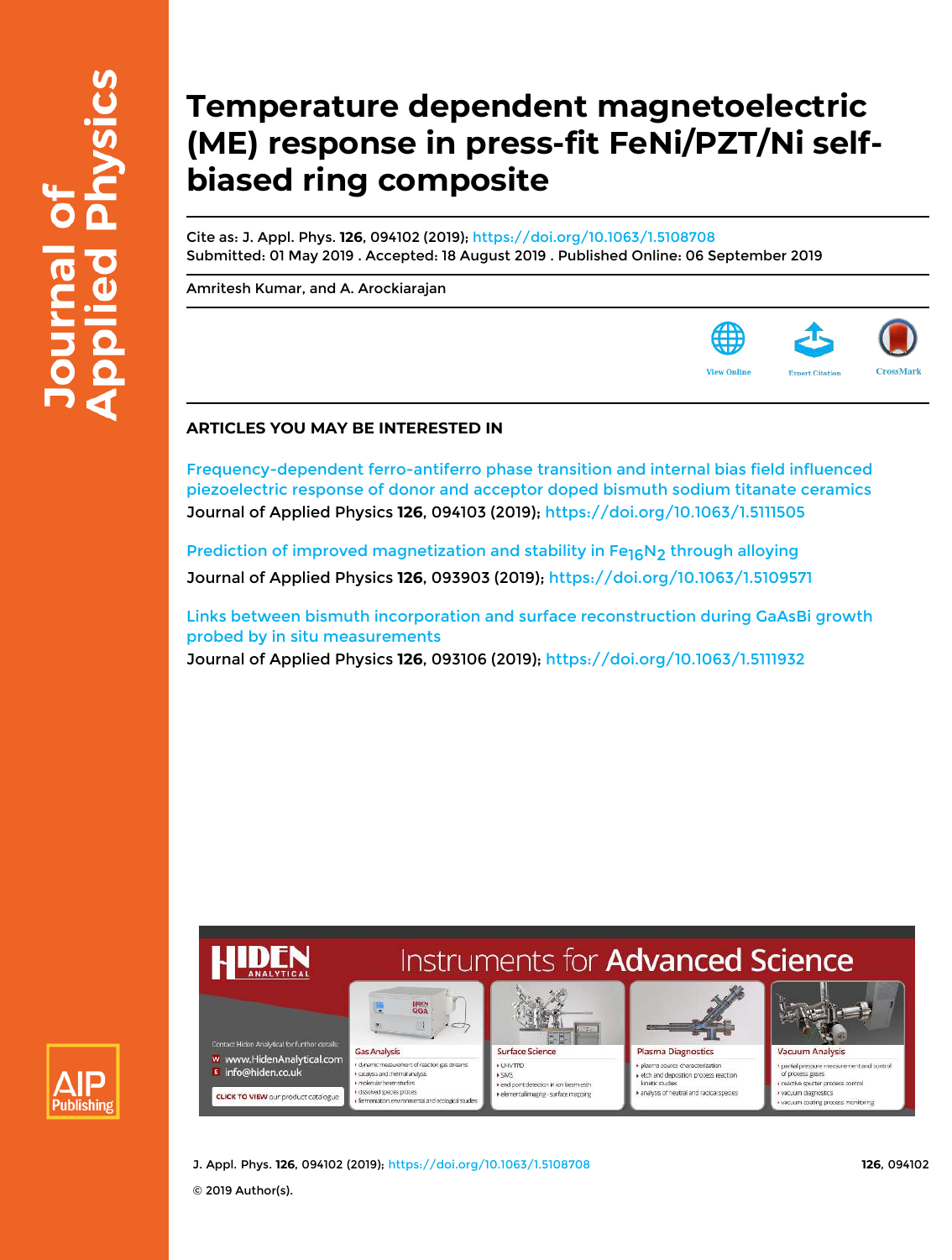# **Temperature dependent magnetoelectric (ME) response in press-fit FeNi/PZT/Ni selfbiased ring composite**

Cite as: J. Appl. Phys. **126**, 094102 (2019); https://doi.org/10.1063/1.5108708 Submitted: 01 May 2019 . Accepted: 18 August 2019 . Published Online: 06 September 2019

Amritesh Kumar, and A. Arockiarajan

## **ARTICLES YOU MAY BE INTERESTED IN**

Frequency-dependent ferro-antiferro phase transition and internal bias field influenced piezoelectric response of donor and acceptor doped bismuth sodium titanate ceramics Journal of Applied Physics **126**, 094103 (2019); https://doi.org/10.1063/1.5111505

Prediction of improved magnetization and stability in Fe<sub>16</sub>N<sub>2</sub> through alloying Journal of Applied Physics **126**, 093903 (2019); https://doi.org/10.1063/1.5109571

Links between bismuth incorporation and surface reconstruction during GaAsBi growth probed by in situ measurements Journal of Applied Physics **126**, 093106 (2019); https://doi.org/10.1063/1.5111932





J. Appl. Phys. **126**, 094102 (2019); https://doi.org/10.1063/1.5108708 **126**, 094102

© 2019 Author(s).

**CrossMark** 

**View Onli**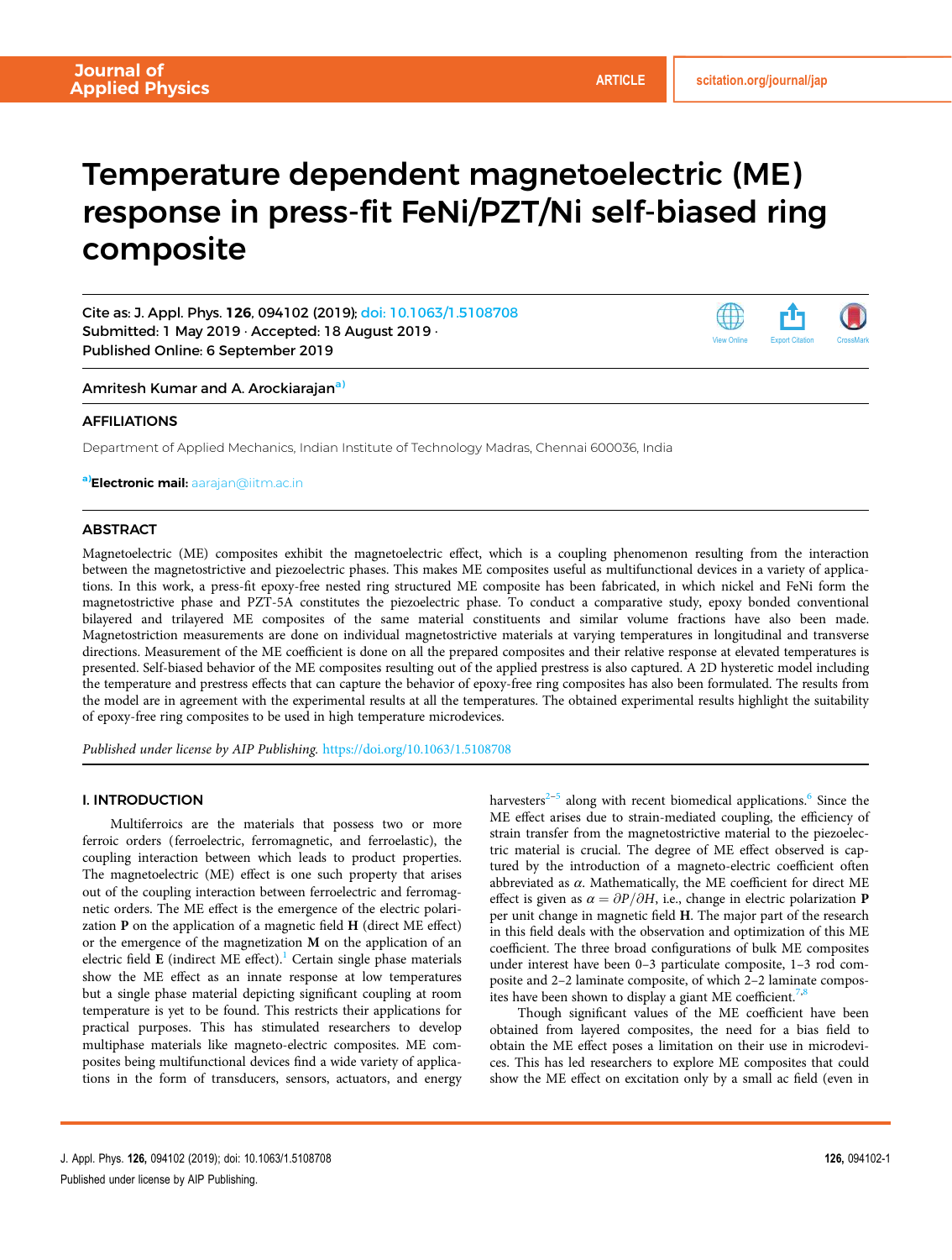## Temperature dependent magnetoelectric (ME) response in press-fit FeNi/PZT/Ni self-biased ring composite

Cite as: J. Appl. Phys. 126, 094102 (2019); doi: 10.1063/1.5108708 Submitted: 1 May 2019 · Accepted: 18 August 2019 · Published Online: 6 September 2019



Amritesh Kumar and A. Arockiarajan<sup>a)</sup>

## AFFILIATIONS

Department of Applied Mechanics, Indian Institute of Technology Madras, Chennai 600036, India

a)Electronic mail: aarajan@iitm.ac.in

## **ABSTRACT**

Magnetoelectric (ME) composites exhibit the magnetoelectric effect, which is a coupling phenomenon resulting from the interaction between the magnetostrictive and piezoelectric phases. This makes ME composites useful as multifunctional devices in a variety of applications. In this work, a press-fit epoxy-free nested ring structured ME composite has been fabricated, in which nickel and FeNi form the magnetostrictive phase and PZT-5A constitutes the piezoelectric phase. To conduct a comparative study, epoxy bonded conventional bilayered and trilayered ME composites of the same material constituents and similar volume fractions have also been made. Magnetostriction measurements are done on individual magnetostrictive materials at varying temperatures in longitudinal and transverse directions. Measurement of the ME coefficient is done on all the prepared composites and their relative response at elevated temperatures is presented. Self-biased behavior of the ME composites resulting out of the applied prestress is also captured. A 2D hysteretic model including the temperature and prestress effects that can capture the behavior of epoxy-free ring composites has also been formulated. The results from the model are in agreement with the experimental results at all the temperatures. The obtained experimental results highlight the suitability of epoxy-free ring composites to be used in high temperature microdevices.

*Published under license by AIP Publishing.* https://doi.org/10.1063/1.5108708

## I. INTRODUCTION

Multiferroics are the materials that possess two or more ferroic orders (ferroelectric, ferromagnetic, and ferroelastic), the coupling interaction between which leads to product properties. The magnetoelectric (ME) effect is one such property that arises out of the coupling interaction between ferroelectric and ferromagnetic orders. The ME effect is the emergence of the electric polarization P on the application of a magnetic field H (direct ME effect) or the emergence of the magnetization M on the application of an electric field E (indirect ME effect). $\frac{1}{1}$  Certain single phase materials show the ME effect as an innate response at low temperatures but a single phase material depicting significant coupling at room temperature is yet to be found. This restricts their applications for practical purposes. This has stimulated researchers to develop multiphase materials like magneto-electric composites. ME composites being multifunctional devices find a wide variety of applications in the form of transducers, sensors, actuators, and energy

harvesters<sup>2-5</sup> along with recent biomedical applications.<sup>6</sup> Since the ME effect arises due to strain-mediated coupling, the efficiency of strain transfer from the magnetostrictive material to the piezoelectric material is crucial. The degree of ME effect observed is captured by the introduction of a magneto-electric coefficient often abbreviated as  $\alpha$ . Mathematically, the ME coefficient for direct ME effect is given as  $\alpha = \partial P/\partial H$ , i.e., change in electric polarization **P** per unit change in magnetic field H. The major part of the research in this field deals with the observation and optimization of this ME coefficient. The three broad configurations of bulk ME composites under interest have been 0–3 particulate composite, 1–3 rod composite and 2–2 laminate composite, of which 2–2 laminate composites have been shown to display a giant ME coefficient.<sup>7,8</sup>

Though significant values of the ME coefficient have been obtained from layered composites, the need for a bias field to obtain the ME effect poses a limitation on their use in microdevices. This has led researchers to explore ME composites that could show the ME effect on excitation only by a small ac field (even in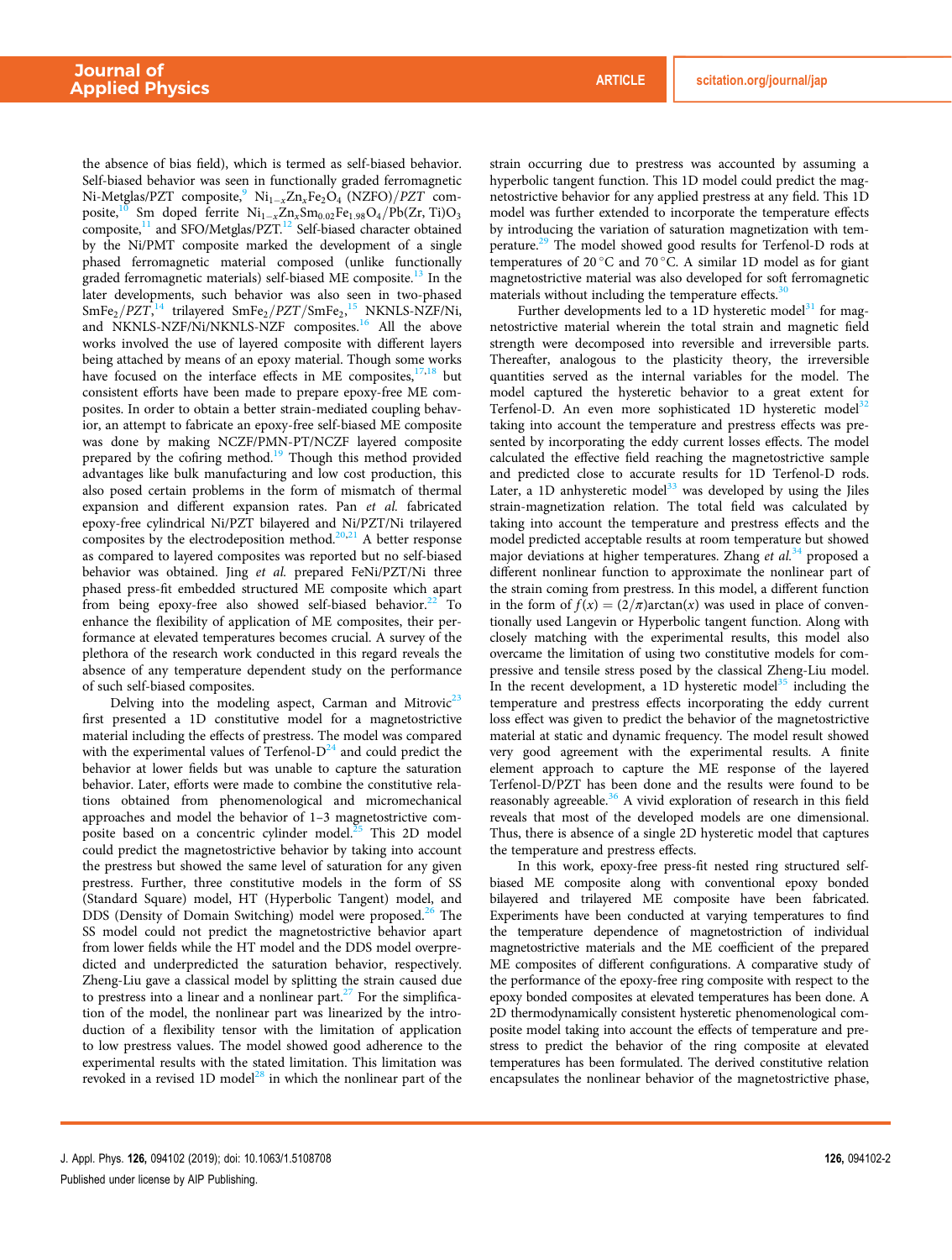the absence of bias field), which is termed as self-biased behavior. Self-biased behavior was seen in functionally graded ferromagnetic Ni-Metglas/PZT composite,<sup>9</sup> Ni<sub>1-x</sub>Zn<sub>x</sub>Fe<sub>2</sub>O<sub>4</sub> (NZFO)/PZT composite,<sup>10</sup> Sm doped ferrite  $Ni_{1-x}Zn_{x}Sm_{0.02}Fe_{1.98}O_4/Pb(Zr, Ti)O_3$ composite,<sup>11</sup> and SFO/Metglas/PZT.<sup>12</sup> Self-biased character obtained by the Ni/PMT composite marked the development of a single phased ferromagnetic material composed (unlike functionally graded ferromagnetic materials) self-biased ME composite.<sup>13</sup> In the later developments, such behavior was also seen in two-phased SmFe<sub>2</sub>/PZT,<sup>14</sup> trilayered SmFe<sub>2</sub>/PZT/SmFe<sub>2</sub>,<sup>15</sup> NKNLS-NZF/Ni, and NKNLS-NZF/Ni/NKNLS-NZF composites.<sup>16</sup> All the above works involved the use of layered composite with different layers being attached by means of an epoxy material. Though some works have focused on the interface effects in ME composites,<sup>17,18</sup> but consistent efforts have been made to prepare epoxy-free ME composites. In order to obtain a better strain-mediated coupling behavior, an attempt to fabricate an epoxy-free self-biased ME composite was done by making NCZF/PMN-PT/NCZF layered composite prepared by the cofiring method.<sup>19</sup> Though this method provided advantages like bulk manufacturing and low cost production, this also posed certain problems in the form of mismatch of thermal expansion and different expansion rates. Pan *et al.* fabricated epoxy-free cylindrical Ni/PZT bilayered and Ni/PZT/Ni trilayered composites by the electrodeposition method.<sup>20,21</sup> A better response as compared to layered composites was reported but no self-biased behavior was obtained. Jing *et al.* prepared FeNi/PZT/Ni three phased press-fit embedded structured ME composite which apart from being epoxy-free also showed self-biased behavior. $^{22}$  To enhance the flexibility of application of ME composites, their performance at elevated temperatures becomes crucial. A survey of the plethora of the research work conducted in this regard reveals the absence of any temperature dependent study on the performance of such self-biased composites.

Delving into the modeling aspect, Carman and Mitrovic<sup>23</sup> first presented a 1D constitutive model for a magnetostrictive material including the effects of prestress. The model was compared with the experimental values of Terfenol- $D<sup>24</sup>$  and could predict the behavior at lower fields but was unable to capture the saturation behavior. Later, efforts were made to combine the constitutive relations obtained from phenomenological and micromechanical approaches and model the behavior of 1–3 magnetostrictive composite based on a concentric cylinder model.<sup>25</sup> This 2D model could predict the magnetostrictive behavior by taking into account the prestress but showed the same level of saturation for any given prestress. Further, three constitutive models in the form of SS (Standard Square) model, HT (Hyperbolic Tangent) model, and DDS (Density of Domain Switching) model were proposed.<sup>26</sup> The SS model could not predict the magnetostrictive behavior apart from lower fields while the HT model and the DDS model overpredicted and underpredicted the saturation behavior, respectively. Zheng-Liu gave a classical model by splitting the strain caused due to prestress into a linear and a nonlinear part. $27$  For the simplification of the model, the nonlinear part was linearized by the introduction of a flexibility tensor with the limitation of application to low prestress values. The model showed good adherence to the experimental results with the stated limitation. This limitation was revoked in a revised 1D model<sup>28</sup> in which the nonlinear part of the

strain occurring due to prestress was accounted by assuming a hyperbolic tangent function. This 1D model could predict the magnetostrictive behavior for any applied prestress at any field. This 1D model was further extended to incorporate the temperature effects by introducing the variation of saturation magnetization with temperature.<sup>29</sup> The model showed good results for Terfenol-D rods at temperatures of 20 $^{\circ}$ C and 70 $^{\circ}$ C. A similar 1D model as for giant magnetostrictive material was also developed for soft ferromagnetic materials without including the temperature effects. $30$ 

Further developments led to a 1D hysteretic model<sup>31</sup> for magnetostrictive material wherein the total strain and magnetic field strength were decomposed into reversible and irreversible parts. Thereafter, analogous to the plasticity theory, the irreversible quantities served as the internal variables for the model. The model captured the hysteretic behavior to a great extent for Terfenol-D. An even more sophisticated 1D hysteretic model<sup>32</sup> taking into account the temperature and prestress effects was presented by incorporating the eddy current losses effects. The model calculated the effective field reaching the magnetostrictive sample and predicted close to accurate results for 1D Terfenol-D rods. Later, a 1D anhysteretic model<sup>33</sup> was developed by using the Jiles strain-magnetization relation. The total field was calculated by taking into account the temperature and prestress effects and the model predicted acceptable results at room temperature but showed major deviations at higher temperatures. Zhang et al.<sup>34</sup> proposed a different nonlinear function to approximate the nonlinear part of the strain coming from prestress. In this model, a different function in the form of  $f(x) = (2/\pi) \arctan(x)$  was used in place of conventionally used Langevin or Hyperbolic tangent function. Along with closely matching with the experimental results, this model also overcame the limitation of using two constitutive models for compressive and tensile stress posed by the classical Zheng-Liu model. In the recent development, a 1D hysteretic model<sup>35</sup> including the temperature and prestress effects incorporating the eddy current loss effect was given to predict the behavior of the magnetostrictive material at static and dynamic frequency. The model result showed very good agreement with the experimental results. A finite element approach to capture the ME response of the layered Terfenol-D/PZT has been done and the results were found to be reasonably agreeable.<sup>36</sup> A vivid exploration of research in this field reveals that most of the developed models are one dimensional. Thus, there is absence of a single 2D hysteretic model that captures the temperature and prestress effects.

In this work, epoxy-free press-fit nested ring structured selfbiased ME composite along with conventional epoxy bonded bilayered and trilayered ME composite have been fabricated. Experiments have been conducted at varying temperatures to find the temperature dependence of magnetostriction of individual magnetostrictive materials and the ME coefficient of the prepared ME composites of different configurations. A comparative study of the performance of the epoxy-free ring composite with respect to the epoxy bonded composites at elevated temperatures has been done. A 2D thermodynamically consistent hysteretic phenomenological composite model taking into account the effects of temperature and prestress to predict the behavior of the ring composite at elevated temperatures has been formulated. The derived constitutive relation encapsulates the nonlinear behavior of the magnetostrictive phase,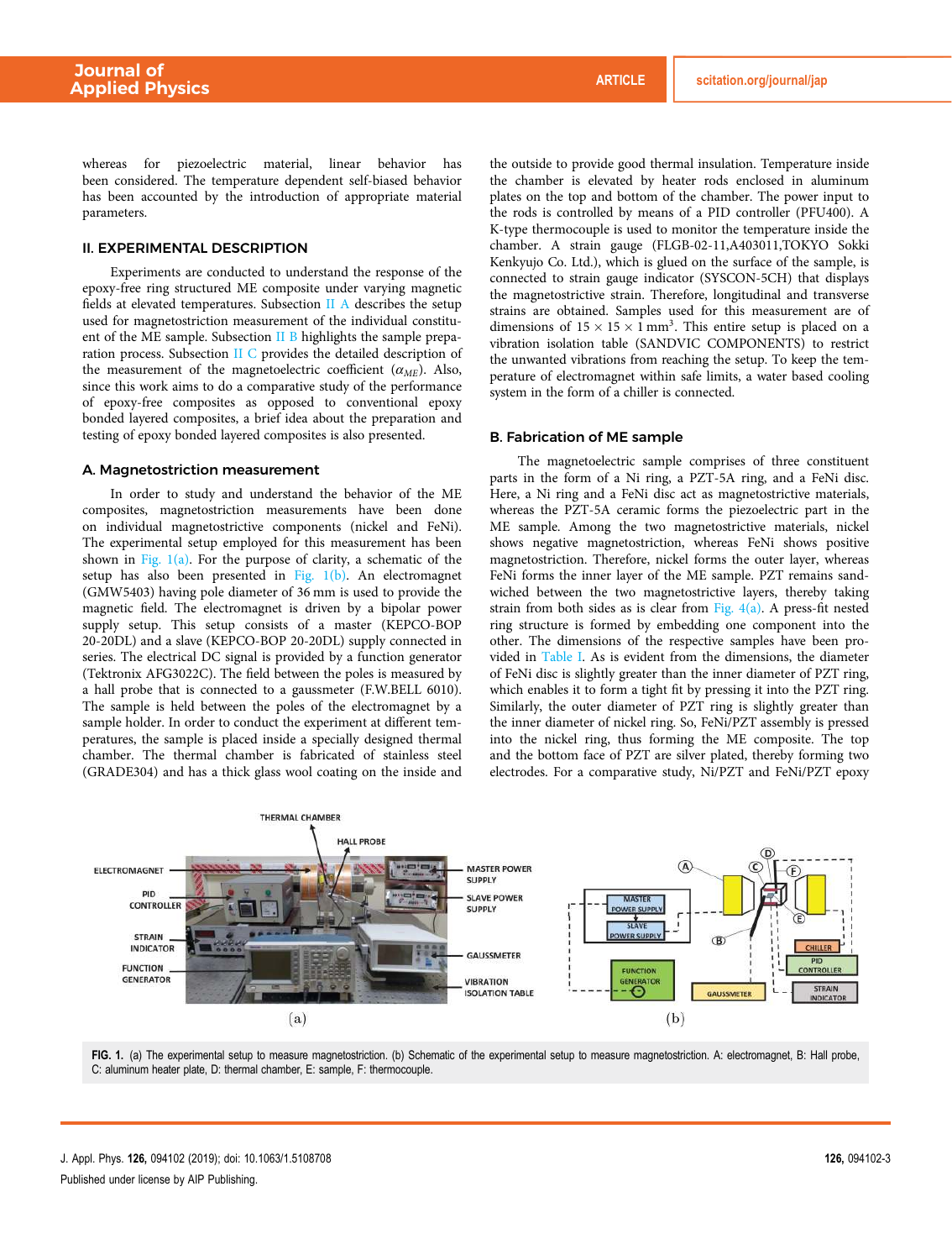whereas for piezoelectric material, linear behavior has been considered. The temperature dependent self-biased behavior has been accounted by the introduction of appropriate material parameters.

## II. EXPERIMENTAL DESCRIPTION

Experiments are conducted to understand the response of the epoxy-free ring structured ME composite under varying magnetic fields at elevated temperatures. Subsection II A describes the setup used for magnetostriction measurement of the individual constituent of the ME sample. Subsection II B highlights the sample preparation process. Subsection II C provides the detailed description of the measurement of the magnetoelectric coefficient  $(\alpha_{ME})$ . Also, since this work aims to do a comparative study of the performance of epoxy-free composites as opposed to conventional epoxy bonded layered composites, a brief idea about the preparation and testing of epoxy bonded layered composites is also presented.

#### A. Magnetostriction measurement

In order to study and understand the behavior of the ME composites, magnetostriction measurements have been done on individual magnetostrictive components (nickel and FeNi). The experimental setup employed for this measurement has been shown in Fig.  $1(a)$ . For the purpose of clarity, a schematic of the setup has also been presented in Fig.  $1(b)$ . An electromagnet (GMW5403) having pole diameter of 36 mm is used to provide the magnetic field. The electromagnet is driven by a bipolar power supply setup. This setup consists of a master (KEPCO-BOP 20-20DL) and a slave (KEPCO-BOP 20-20DL) supply connected in series. The electrical DC signal is provided by a function generator (Tektronix AFG3022C). The field between the poles is measured by a hall probe that is connected to a gaussmeter (F.W.BELL 6010). The sample is held between the poles of the electromagnet by a sample holder. In order to conduct the experiment at different temperatures, the sample is placed inside a specially designed thermal chamber. The thermal chamber is fabricated of stainless steel (GRADE304) and has a thick glass wool coating on the inside and

the outside to provide good thermal insulation. Temperature inside the chamber is elevated by heater rods enclosed in aluminum plates on the top and bottom of the chamber. The power input to the rods is controlled by means of a PID controller (PFU400). A K-type thermocouple is used to monitor the temperature inside the chamber. A strain gauge (FLGB-02-11,A403011,TOKYO Sokki Kenkyujo Co. Ltd.), which is glued on the surface of the sample, is connected to strain gauge indicator (SYSCON-5CH) that displays the magnetostrictive strain. Therefore, longitudinal and transverse strains are obtained. Samples used for this measurement are of dimensions of  $15 \times 15 \times 1$  mm<sup>3</sup>. This entire setup is placed on a vibration isolation table (SANDVIC COMPONENTS) to restrict the unwanted vibrations from reaching the setup. To keep the temperature of electromagnet within safe limits, a water based cooling system in the form of a chiller is connected.

#### B. Fabrication of ME sample

The magnetoelectric sample comprises of three constituent parts in the form of a Ni ring, a PZT-5A ring, and a FeNi disc. Here, a Ni ring and a FeNi disc act as magnetostrictive materials, whereas the PZT-5A ceramic forms the piezoelectric part in the ME sample. Among the two magnetostrictive materials, nickel shows negative magnetostriction, whereas FeNi shows positive magnetostriction. Therefore, nickel forms the outer layer, whereas FeNi forms the inner layer of the ME sample. PZT remains sandwiched between the two magnetostrictive layers, thereby taking strain from both sides as is clear from Fig.  $4(a)$ . A press-fit nested ring structure is formed by embedding one component into the other. The dimensions of the respective samples have been provided in Table I. As is evident from the dimensions, the diameter of FeNi disc is slightly greater than the inner diameter of PZT ring, which enables it to form a tight fit by pressing it into the PZT ring. Similarly, the outer diameter of PZT ring is slightly greater than the inner diameter of nickel ring. So, FeNi/PZT assembly is pressed into the nickel ring, thus forming the ME composite. The top and the bottom face of PZT are silver plated, thereby forming two electrodes. For a comparative study, Ni/PZT and FeNi/PZT epoxy



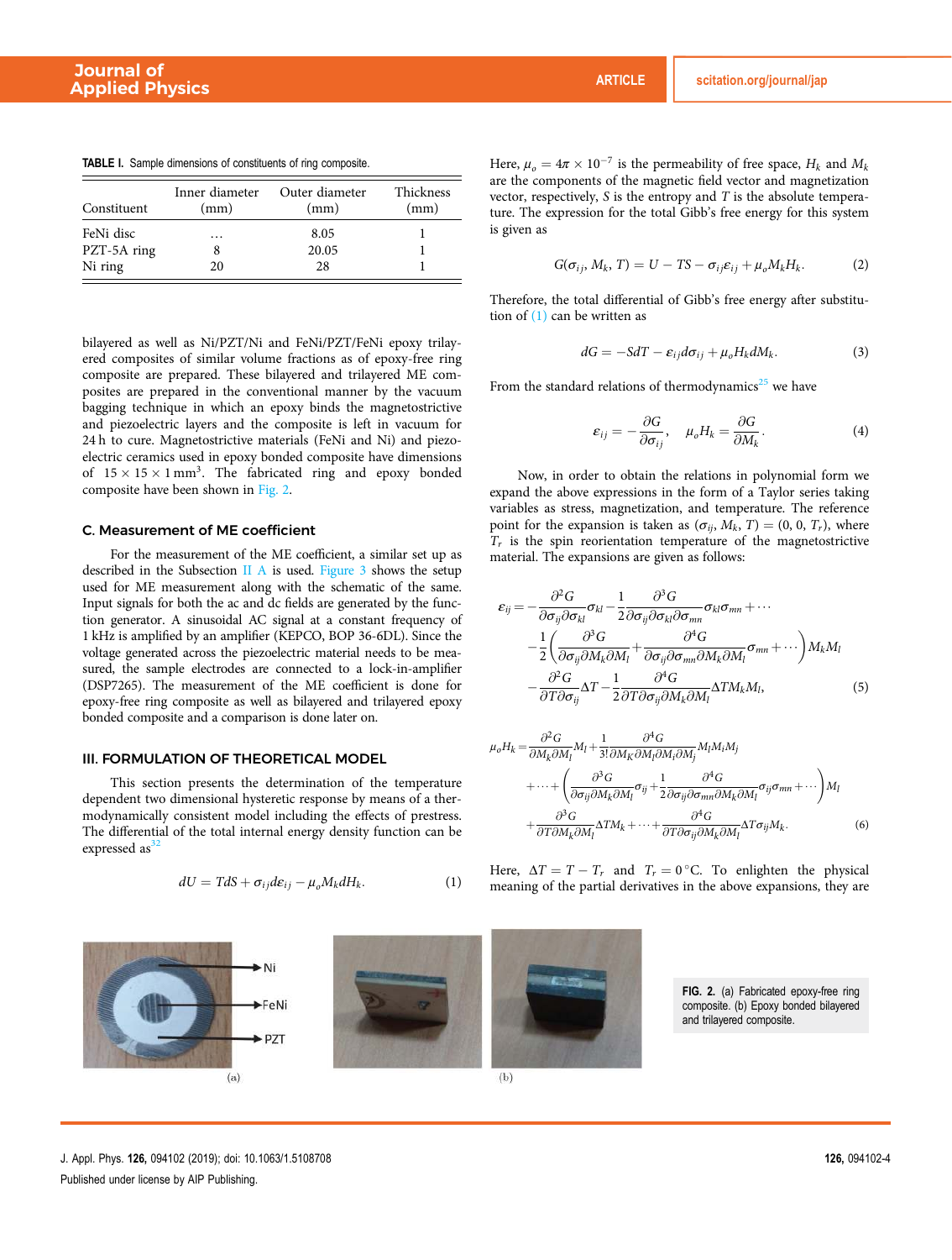|  |  |  |  | <b>TABLE I.</b> Sample dimensions of constituents of ring composite. |  |  |  |
|--|--|--|--|----------------------------------------------------------------------|--|--|--|
|--|--|--|--|----------------------------------------------------------------------|--|--|--|

| Constituent | Inner diameter<br>(mm) | Outer diameter<br>(mm) | Thickness<br>(mm) |
|-------------|------------------------|------------------------|-------------------|
| FeNi disc   | $\cdots$               | 8.05                   |                   |
| PZT-5A ring | 8                      | 20.05                  |                   |
| Ni ring     | 20                     | 28                     |                   |

bilayered as well as Ni/PZT/Ni and FeNi/PZT/FeNi epoxy trilayered composites of similar volume fractions as of epoxy-free ring composite are prepared. These bilayered and trilayered ME composites are prepared in the conventional manner by the vacuum bagging technique in which an epoxy binds the magnetostrictive and piezoelectric layers and the composite is left in vacuum for 24 h to cure. Magnetostrictive materials (FeNi and Ni) and piezoelectric ceramics used in epoxy bonded composite have dimensions of  $15 \times 15 \times 1$  mm<sup>3</sup>. The fabricated ring and epoxy bonded composite have been shown in Fig. 2.

## C. Measurement of ME coefficient

For the measurement of the ME coefficient, a similar set up as described in the Subsection II A is used. Figure 3 shows the setup used for ME measurement along with the schematic of the same. Input signals for both the ac and dc fields are generated by the function generator. A sinusoidal AC signal at a constant frequency of 1 kHz is amplified by an amplifier (KEPCO, BOP 36-6DL). Since the voltage generated across the piezoelectric material needs to be measured, the sample electrodes are connected to a lock-in-amplifier (DSP7265). The measurement of the ME coefficient is done for epoxy-free ring composite as well as bilayered and trilayered epoxy bonded composite and a comparison is done later on.

## III. FORMULATION OF THEORETICAL MODEL

This section presents the determination of the temperature dependent two dimensional hysteretic response by means of a thermodynamically consistent model including the effects of prestress. The differential of the total internal energy density function can be expressed as $32$ 

$$
dU = TdS + \sigma_{ij}d\varepsilon_{ij} - \mu_o M_k dH_k.
$$
 (1)

Here,  $\mu_o = 4\pi \times 10^{-7}$  is the permeability of free space,  $H_k$  and  $M_k$ are the components of the magnetic field vector and magnetization vector, respectively, *S* is the entropy and *T* is the absolute temperature. The expression for the total Gibb's free energy for this system is given as

$$
G(\sigma_{ij}, M_k, T) = U - TS - \sigma_{ij}\varepsilon_{ij} + \mu_o M_k H_k.
$$
 (2)

Therefore, the total differential of Gibb's free energy after substitution of  $(1)$  can be written as

$$
dG = -SdT - \varepsilon_{ij}d\sigma_{ij} + \mu_o H_k dM_k. \tag{3}
$$

From the standard relations of thermodynamics<sup>25</sup> we have

$$
\varepsilon_{ij} = -\frac{\partial G}{\partial \sigma_{ij}}, \quad \mu_o H_k = \frac{\partial G}{\partial M_k}.
$$
 (4)

Now, in order to obtain the relations in polynomial form we expand the above expressions in the form of a Taylor series taking variables as stress, magnetization, and temperature. The reference point for the expansion is taken as  $(\sigma_{ij}, M_k, T) = (0, 0, T_r)$ , where  $T_r$  is the spin reorientation temperature of the magnetostrictive material. The expansions are given as follows:

$$
\varepsilon_{ij} = -\frac{\partial^2 G}{\partial \sigma_{ij} \partial \sigma_{kl}} \sigma_{kl} - \frac{1}{2} \frac{\partial^3 G}{\partial \sigma_{ij} \partial \sigma_{kl} \partial \sigma_{mn}} \sigma_{kl} \sigma_{mn} + \cdots \n- \frac{1}{2} \left( \frac{\partial^3 G}{\partial \sigma_{ij} \partial M_k \partial M_l} + \frac{\partial^4 G}{\partial \sigma_{ij} \partial \sigma_{mn} \partial M_k \partial M_l} \sigma_{mn} + \cdots \right) M_k M_l \n- \frac{\partial^2 G}{\partial T \partial \sigma_{ij}} \Delta T - \frac{1}{2} \frac{\partial^4 G}{\partial T \partial \sigma_{ij} \partial M_k \partial M_l} \Delta T M_k M_l,
$$
\n(5)

$$
\mu_{o}H_{k} = \frac{\partial^{2}G}{\partial M_{k}\partial M_{l}}M_{l} + \frac{1}{3!}\frac{\partial^{4}G}{\partial M_{K}\partial M_{l}\partial M_{l}\partial M_{j}}M_{l}M_{i}M_{j} \n+ \cdots + \left(\frac{\partial^{3}G}{\partial \sigma_{ij}\partial M_{k}\partial M_{l}}\sigma_{ij} + \frac{1}{2}\frac{\partial^{4}G}{\partial \sigma_{ij}\partial \sigma_{mn}\partial M_{k}\partial M_{l}}\sigma_{ij}\sigma_{mn} + \cdots\right)M_{l} \n+ \frac{\partial^{3}G}{\partial T\partial M_{k}\partial M_{l}}\Delta TM_{k} + \cdots + \frac{\partial^{4}G}{\partial T\partial \sigma_{ij}\partial M_{k}\partial M_{l}}\Delta T\sigma_{ij}M_{k}.
$$
\n(6)

Here,  $\Delta T = T - T_r$  and  $T_r = 0$ °C. To enlighten the physical meaning of the partial derivatives in the above expansions, they are



FIG. 2. (a) Fabricated epoxy-free ring composite. (b) Epoxy bonded bilayered and trilayered composite.

J. Appl. Phys. 126, 094102 (2019); doi: 10.1063/1.5108708 126, 094102-4 Published under license by AIP Publishing.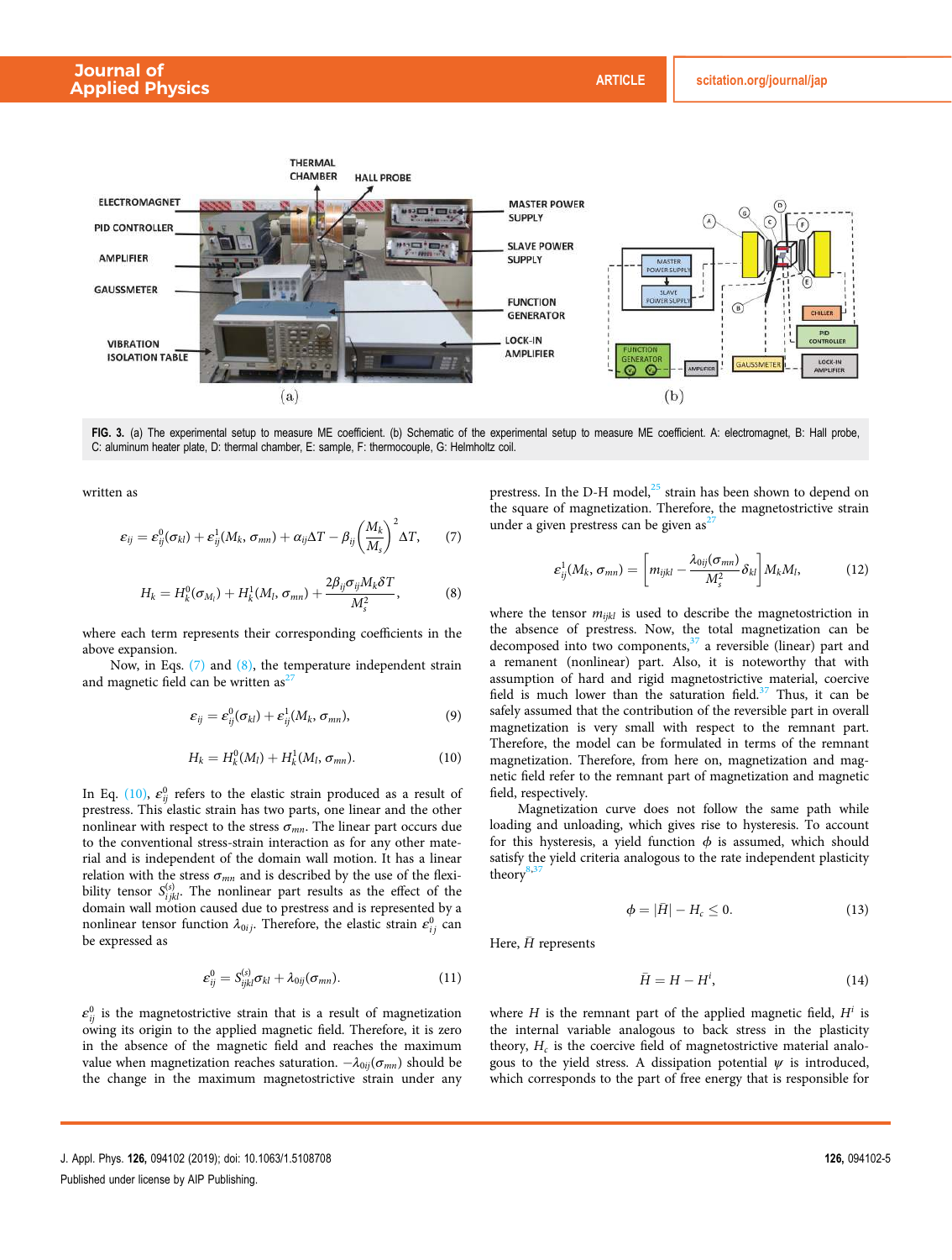

FIG. 3. (a) The experimental setup to measure ME coefficient. (b) Schematic of the experimental setup to measure ME coefficient. A: electromagnet, B: Hall probe, C: aluminum heater plate, D: thermal chamber, E: sample, F: thermocouple, G: Helmholtz coil.

written as

$$
\varepsilon_{ij} = \varepsilon_{ij}^0(\sigma_{kl}) + \varepsilon_{ij}^1(M_k, \sigma_{mn}) + \alpha_{ij}\Delta T - \beta_{ij}\left(\frac{M_k}{M_s}\right)^2 \Delta T, \qquad (7)
$$

$$
H_k = H_k^0(\sigma_{M_l}) + H_k^1(M_l, \sigma_{mn}) + \frac{2\beta_{ij}\sigma_{ij}M_k\delta T}{M_s^2},
$$
 (8)

where each term represents their corresponding coefficients in the above expansion.

Now, in Eqs. (7) and (8), the temperature independent strain and magnetic field can be written  $as<sup>2</sup>$ 

$$
\varepsilon_{ij} = \varepsilon_{ij}^0(\sigma_{kl}) + \varepsilon_{ij}^1(M_k, \sigma_{mn}), \qquad (9)
$$

$$
H_k = H_k^0(M_l) + H_k^1(M_l, \sigma_{mn}).
$$
 (10)

In Eq. (10),  $\varepsilon_{ij}^0$  refers to the elastic strain produced as a result of prestress. This elastic strain has two parts, one linear and the other nonlinear with respect to the stress  $\sigma_{mn}$ . The linear part occurs due to the conventional stress-strain interaction as for any other material and is independent of the domain wall motion. It has a linear relation with the stress  $\sigma_{mn}$  and is described by the use of the flexibility tensor  $S_{ijkl}^{(s)}$ . The nonlinear part results as the effect of the domain wall motion caused due to prestress and is represented by a nonlinear tensor function  $\lambda_{0ij}$ . Therefore, the elastic strain  $\varepsilon_{ij}^0$  can be expressed as

$$
\varepsilon_{ij}^0 = S_{ijkl}^{(s)} \sigma_{kl} + \lambda_{0ij} (\sigma_{mn}). \qquad (11)
$$

 $\varepsilon_{ij}^0$  is the magnetostrictive strain that is a result of magnetization owing its origin to the applied magnetic field. Therefore, it is zero in the absence of the magnetic field and reaches the maximum value when magnetization reaches saturation.  $-\lambda_{0ij}(\sigma_{mn})$  should be the change in the maximum magnetostrictive strain under any prestress. In the D-H model,<sup>25</sup> strain has been shown to depend on the square of magnetization. Therefore, the magnetostrictive strain under a given prestress can be given  $as<sup>2</sup>$ 

$$
\varepsilon_{ij}^1(M_k, \sigma_{mn}) = \left[m_{ijkl} - \frac{\lambda_{0ij}(\sigma_{mn})}{M_s^2} \delta_{kl}\right] M_k M_l, \tag{12}
$$

where the tensor  $m_{ijkl}$  is used to describe the magnetostriction in the absence of prestress. Now, the total magnetization can be decomposed into two components, $37$  a reversible (linear) part and a remanent (nonlinear) part. Also, it is noteworthy that with assumption of hard and rigid magnetostrictive material, coercive field is much lower than the saturation field. $37$  Thus, it can be safely assumed that the contribution of the reversible part in overall magnetization is very small with respect to the remnant part. Therefore, the model can be formulated in terms of the remnant magnetization. Therefore, from here on, magnetization and magnetic field refer to the remnant part of magnetization and magnetic field, respectively.

Magnetization curve does not follow the same path while loading and unloading, which gives rise to hysteresis. To account for this hysteresis, a yield function  $\phi$  is assumed, which should satisfy the yield criteria analogous to the rate independent plasticity theory $8,3$ 

$$
\phi = |\bar{H}| - H_c \le 0. \tag{13}
$$

Here,  $\bar{H}$  represents

$$
\bar{H} = H - H^i,\tag{14}
$$

where *H* is the remnant part of the applied magnetic field, *H<sup>i</sup>* is the internal variable analogous to back stress in the plasticity theory,  $H_c$  is the coercive field of magnetostrictive material analogous to the yield stress. A dissipation potential  $\psi$  is introduced, which corresponds to the part of free energy that is responsible for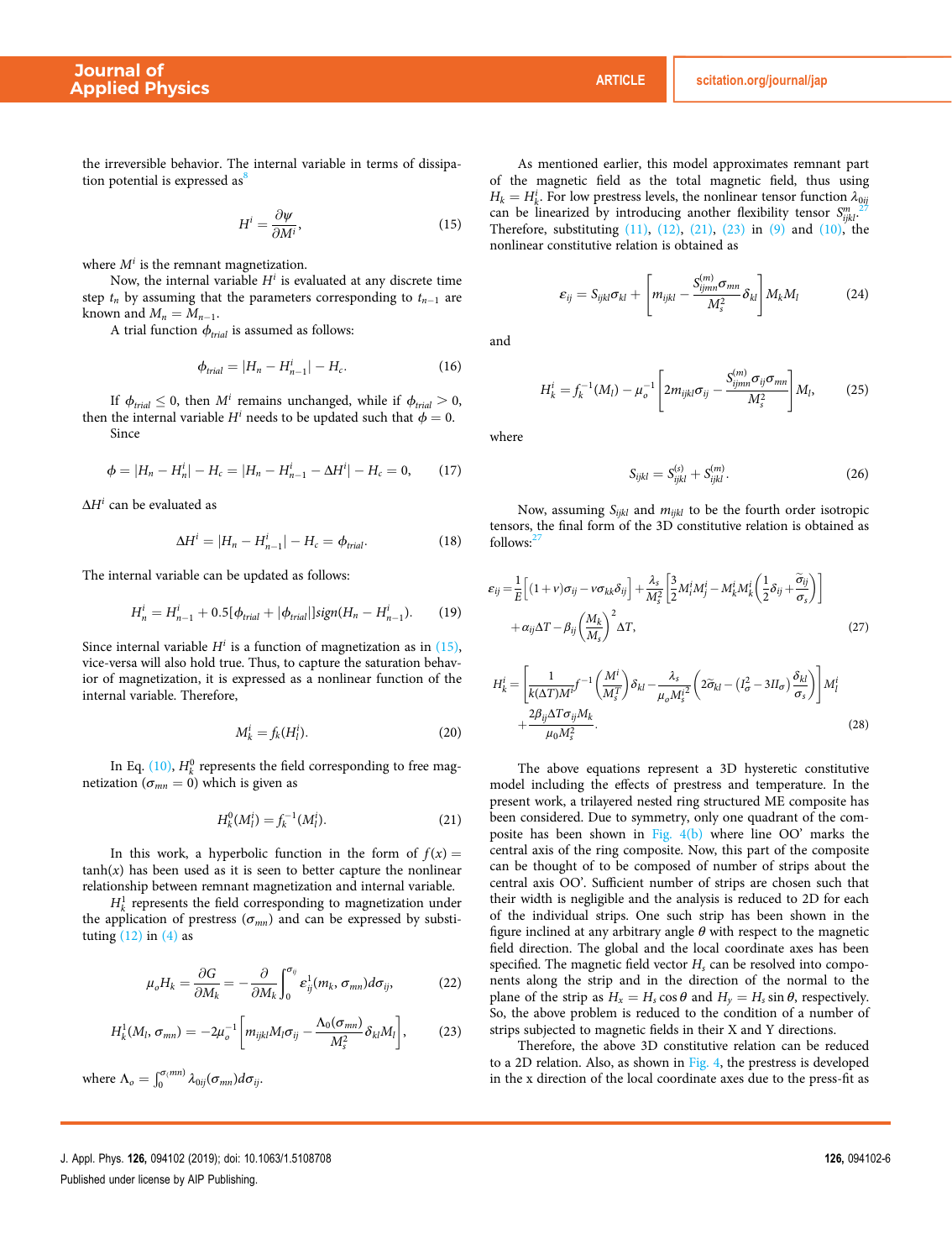the irreversible behavior. The internal variable in terms of dissipation potential is expressed as<sup>8</sup>

$$
H^i = \frac{\partial \psi}{\partial M^i},\tag{15}
$$

where  $M<sup>i</sup>$  is the remnant magnetization.

Now, the internal variable  $H^i$  is evaluated at any discrete time step  $t_n$  by assuming that the parameters corresponding to  $t_{n-1}$  are known and  $M_n = M_{n-1}$ .

A trial function  $\phi_{trial}$  is assumed as follows:

$$
\phi_{trial} = |H_n - H_{n-1}^i| - H_c.
$$
 (16)

If  $\phi_{trial} \leq 0$ , then  $M^i$  remains unchanged, while if  $\phi_{trial} > 0$ , then the internal variable  $H^i$  needs to be updated such that  $\phi = 0$ . Since

$$
\phi = |H_n - H_n^i| - H_c = |H_n - H_{n-1}^i - \Delta H^i| - H_c = 0,
$$
 (17)

Δ*H<sup>i</sup>* can be evaluated as

$$
\Delta H^i = |H_n - H_{n-1}^i| - H_c = \phi_{trial}.\tag{18}
$$

The internal variable can be updated as follows:

$$
H_n^i = H_{n-1}^i + 0.5[\phi_{trial} + |\phi_{trial}|]sign(H_n - H_{n-1}^i). \tag{19}
$$

Since internal variable  $H^i$  is a function of magnetization as in  $(15)$ , vice-versa will also hold true. Thus, to capture the saturation behavior of magnetization, it is expressed as a nonlinear function of the internal variable. Therefore,

$$
M_k^i = f_k(H_l^i). \tag{20}
$$

In Eq. (10),  $H_k^0$  represents the field corresponding to free magnetization ( $\sigma_{mn} = 0$ ) which is given as

$$
H_k^0(M_l^i) = f_k^{-1}(M_l^i). \tag{21}
$$

In this work, a hyperbolic function in the form of  $f(x) =$  $tanh(x)$  has been used as it is seen to better capture the nonlinear relationship between remnant magnetization and internal variable.

 $H_k^1$  represents the field corresponding to magnetization under the application of prestress  $(\sigma_{mn})$  and can be expressed by substituting  $(12)$  in  $(4)$  as

$$
\mu_o H_k = \frac{\partial G}{\partial M_k} = -\frac{\partial}{\partial M_k} \int_0^{\sigma_{ij}} \varepsilon_{ij}^1(m_k, \sigma_{mn}) d\sigma_{ij}, \qquad (22)
$$

$$
H_k^1(M_l, \sigma_{mn}) = -2\mu_o^{-1} \left[ m_{ijkl} M_l \sigma_{ij} - \frac{\Lambda_0(\sigma_{mn})}{M_s^2} \delta_{kl} M_l \right], \qquad (23)
$$

where  $\Lambda_o = \int_0^{\sigma(mn)} \lambda_{0ij}(\sigma_{mn}) d\sigma_{ij}$ .

As mentioned earlier, this model approximates remnant part of the magnetic field as the total magnetic field, thus using  $H_k = H_k^i$ . For low prestress levels, the nonlinear tensor function  $\lambda_{0ij}$ can be linearized by introducing another flexibility tensor  $S_{ijkl}^{m}$ .<sup>27</sup> Therefore, substituting  $(11)$ ,  $(12)$ ,  $(21)$ ,  $(23)$  in  $(9)$  and  $(10)$ , the nonlinear constitutive relation is obtained as

$$
\varepsilon_{ij} = S_{ijkl}\sigma_{kl} + \left[m_{ijkl} - \frac{S_{ijmn}^{(m)}\sigma_{mn}}{M_s^2}\delta_{kl}\right]M_kM_l \tag{24}
$$

and

$$
H_{k}^{i} = f_{k}^{-1}(M_{l}) - \mu_{o}^{-1} \left[ 2m_{ijkl}\sigma_{ij} - \frac{S_{ijmn}^{(m)}\sigma_{ij}\sigma_{mn}}{M_{s}^{2}} \right] M_{l}, \qquad (25)
$$

where

$$
S_{ijkl} = S_{ijkl}^{(s)} + S_{ijkl}^{(m)}.
$$
 (26)

Now, assuming *Sijkl* and *mijkl* to be the fourth order isotropic tensors, the final form of the 3D constitutive relation is obtained as follows:

$$
\varepsilon_{ij} = \frac{1}{E} \Big[ (1 + v)\sigma_{ij} - v\sigma_{kk}\delta_{ij} \Big] + \frac{\lambda_s}{M_s^2} \Big[ \frac{3}{2} M_i^i M_j^i - M_k^i M_k^i \Big( \frac{1}{2} \delta_{ij} + \frac{\tilde{\sigma}_{ij}}{\sigma_s} \Big) \Big] + \alpha_{ij} \Delta T - \beta_{ij} \Big( \frac{M_k}{M_s} \Big)^2 \Delta T,
$$
\n(27)

$$
H_{k}^{i} = \left[\frac{1}{k(\Delta T)M^{i}}f^{-1}\left(\frac{M^{i}}{M_{s}^{T}}\right)\delta_{kl} - \frac{\lambda_{s}}{\mu_{o}M_{s}^{i^{2}}}\left(2\tilde{\sigma}_{kl} - \left(I_{\sigma}^{2} - 3II_{\sigma}\right)\frac{\delta_{kl}}{\sigma_{s}}\right)\right]M_{l}^{i} + \frac{2\beta_{ij}\Delta T\sigma_{ij}M_{k}}{\mu_{0}M_{s}^{2}}.
$$
\n(28)

The above equations represent a 3D hysteretic constitutive model including the effects of prestress and temperature. In the present work, a trilayered nested ring structured ME composite has been considered. Due to symmetry, only one quadrant of the composite has been shown in Fig. 4(b) where line OO' marks the central axis of the ring composite. Now, this part of the composite can be thought of to be composed of number of strips about the central axis OO'. Sufficient number of strips are chosen such that their width is negligible and the analysis is reduced to 2D for each of the individual strips. One such strip has been shown in the figure inclined at any arbitrary angle  $\theta$  with respect to the magnetic field direction. The global and the local coordinate axes has been specified. The magnetic field vector *H<sup>s</sup>* can be resolved into components along the strip and in the direction of the normal to the plane of the strip as  $H_x = H_s \cos \theta$  and  $H_y = H_s \sin \theta$ , respectively. So, the above problem is reduced to the condition of a number of strips subjected to magnetic fields in their X and Y directions.

Therefore, the above 3D constitutive relation can be reduced to a 2D relation. Also, as shown in Fig. 4, the prestress is developed in the x direction of the local coordinate axes due to the press-fit as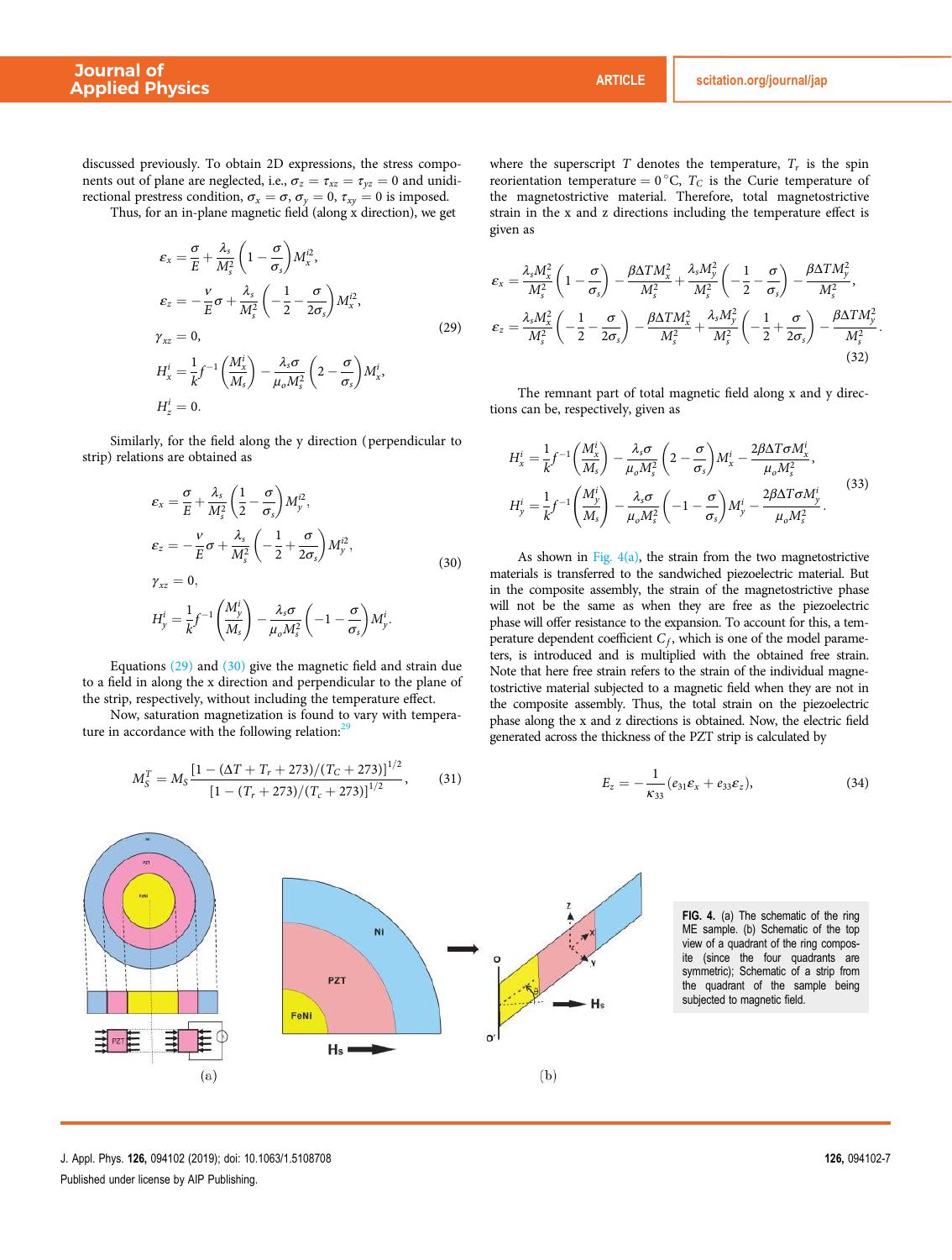discussed previously. To obtain 2D expressions, the stress components out of plane are neglected, i.e.,  $\sigma_z = \tau_{xz} = \tau_{yz} = 0$  and unidirectional prestress condition,  $\sigma_x = \sigma$ ,  $\sigma_y = 0$ ,  $\tau_{xy} = 0$  is imposed.

Thus, for an in-plane magnetic field (along x direction), we get

$$
\varepsilon_{x} = \frac{\sigma}{E} + \frac{\lambda_{s}}{M_{s}^{2}} \left( 1 - \frac{\sigma}{\sigma_{s}} \right) M_{x}^{i2},
$$
\n
$$
\varepsilon_{z} = -\frac{\nu}{E} \sigma + \frac{\lambda_{s}}{M_{s}^{2}} \left( -\frac{1}{2} - \frac{\sigma}{2\sigma_{s}} \right) M_{x}^{i2},
$$
\n
$$
\gamma_{xz} = 0,
$$
\n
$$
H_{x}^{i} = \frac{1}{k} f^{-1} \left( \frac{M_{x}^{i}}{M_{s}} \right) - \frac{\lambda_{s} \sigma}{\mu_{o} M_{s}^{2}} \left( 2 - \frac{\sigma}{\sigma_{s}} \right) M_{x}^{i},
$$
\n
$$
H_{z}^{i} = 0.
$$
\n(29)

Similarly, for the field along the y direction ( perpendicular to strip) relations are obtained as

$$
\varepsilon_{x} = \frac{\sigma}{E} + \frac{\lambda_{s}}{M_{s}^{2}} \left( \frac{1}{2} - \frac{\sigma}{\sigma_{s}} \right) M_{y}^{i2},
$$
\n
$$
\varepsilon_{z} = -\frac{v}{E} \sigma + \frac{\lambda_{s}}{M_{s}^{2}} \left( -\frac{1}{2} + \frac{\sigma}{2\sigma_{s}} \right) M_{y}^{i2},
$$
\n
$$
\gamma_{xz} = 0,
$$
\n
$$
H_{y}^{i} = \frac{1}{k} f^{-1} \left( \frac{M_{y}^{i}}{M_{s}} \right) - \frac{\lambda_{s} \sigma}{\mu_{o} M_{s}^{2}} \left( -1 - \frac{\sigma}{\sigma_{s}} \right) M_{y}^{i}.
$$
\n(30)

Equations (29) and (30) give the magnetic field and strain due to a field in along the x direction and perpendicular to the plane of the strip, respectively, without including the temperature effect.

Now, saturation magnetization is found to vary with temperature in accordance with the following relation: $2<sup>9</sup>$ 

$$
M_S^T = M_S \frac{\left[1 - \left(\Delta T + T_r + 273\right)/(T_C + 273)\right]^{1/2}}{\left[1 - \left(T_r + 273\right)/(T_c + 273)\right]^{1/2}},\tag{31}
$$

where the superscript  $T$  denotes the temperature,  $T_r$  is the spin reorientation temperature =  $0^{\circ}$ C,  $T_C$  is the Curie temperature of the magnetostrictive material. Therefore, total magnetostrictive strain in the x and z directions including the temperature effect is given as

$$
\varepsilon_x = \frac{\lambda_s M_x^2}{M_s^2} \left( 1 - \frac{\sigma}{\sigma_s} \right) - \frac{\beta \Delta T M_x^2}{M_s^2} + \frac{\lambda_s M_y^2}{M_s^2} \left( -\frac{1}{2} - \frac{\sigma}{\sigma_s} \right) - \frac{\beta \Delta T M_y^2}{M_s^2},
$$
\n
$$
\varepsilon_z = \frac{\lambda_s M_x^2}{M_s^2} \left( -\frac{1}{2} - \frac{\sigma}{2\sigma_s} \right) - \frac{\beta \Delta T M_x^2}{M_s^2} + \frac{\lambda_s M_y^2}{M_s^2} \left( -\frac{1}{2} + \frac{\sigma}{2\sigma_s} \right) - \frac{\beta \Delta T M_y^2}{M_s^2}.
$$
\n(32)

The remnant part of total magnetic field along x and y directions can be, respectively, given as

$$
H_x^i = \frac{1}{k} f^{-1} \left( \frac{M_x^i}{M_s} \right) - \frac{\lambda_s \sigma}{\mu_o M_s^2} \left( 2 - \frac{\sigma}{\sigma_s} \right) M_x^i - \frac{2\beta \Delta T \sigma M_x^i}{\mu_o M_s^2},
$$
  
\n
$$
H_y^i = \frac{1}{k} f^{-1} \left( \frac{M_y^i}{M_s} \right) - \frac{\lambda_s \sigma}{\mu_o M_s^2} \left( -1 - \frac{\sigma}{\sigma_s} \right) M_y^i - \frac{2\beta \Delta T \sigma M_y^i}{\mu_o M_s^2}.
$$
\n(33)

As shown in Fig.  $4(a)$ , the strain from the two magnetostrictive materials is transferred to the sandwiched piezoelectric material. But in the composite assembly, the strain of the magnetostrictive phase will not be the same as when they are free as the piezoelectric phase will offer resistance to the expansion. To account for this, a temperature dependent coefficient  $C_f$ , which is one of the model parameters, is introduced and is multiplied with the obtained free strain. Note that here free strain refers to the strain of the individual magnetostrictive material subjected to a magnetic field when they are not in the composite assembly. Thus, the total strain on the piezoelectric phase along the x and z directions is obtained. Now, the electric field generated across the thickness of the PZT strip is calculated by

$$
E_z = -\frac{1}{\kappa_{33}} (e_{31} \varepsilon_x + e_{33} \varepsilon_z), \tag{34}
$$



FIG. 4. (a) The schematic of the ring ME sample. (b) Schematic of the top view of a quadrant of the ring composite (since the four quadrants are symmetric); Schematic of a strip from the quadrant of the sample being subjected to magnetic field.

J. Appl. Phys. 126, 094102 (2019); doi: 10.1063/1.5108708 126, 094102-7 Published under license by AIP Publishing.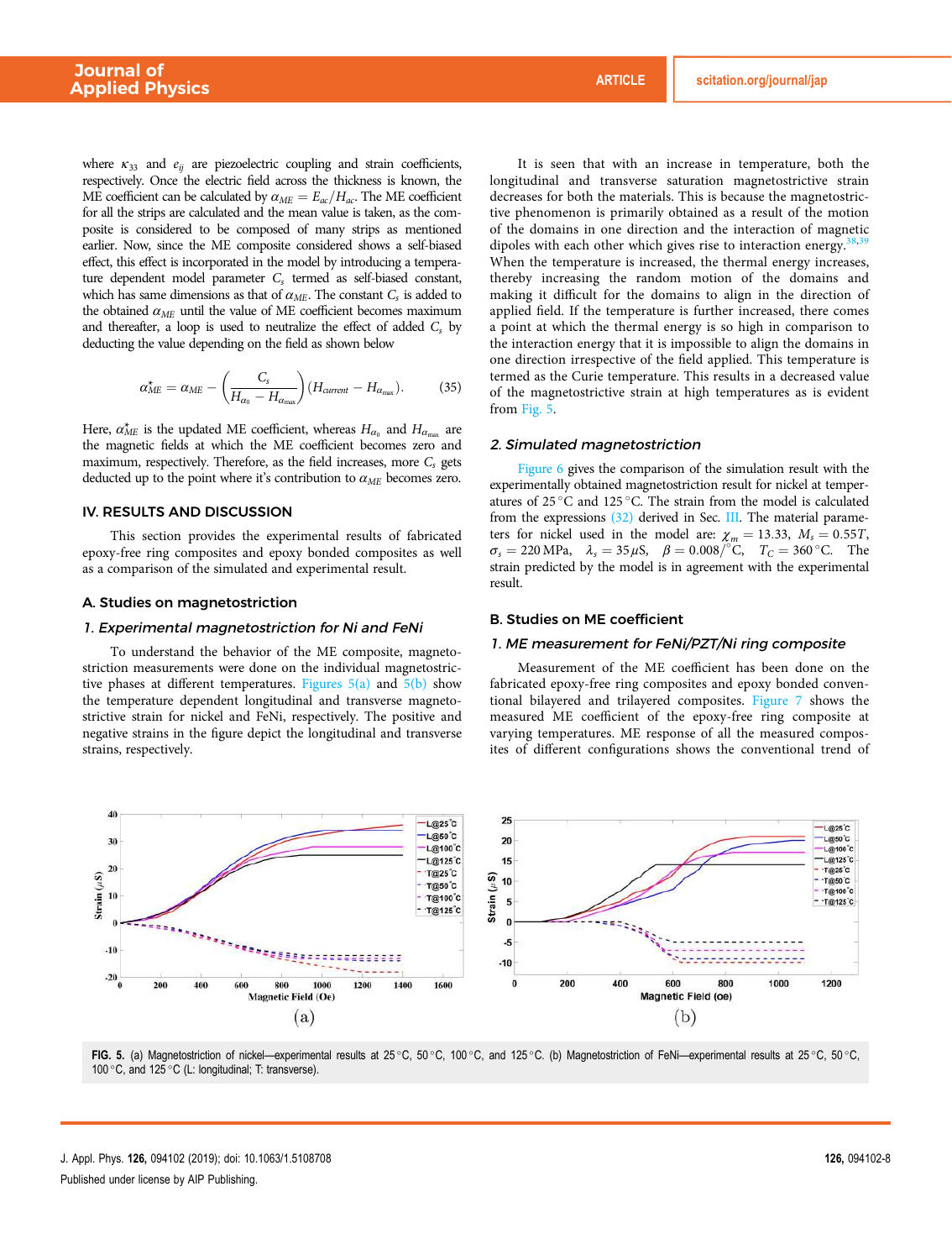where  $\kappa_{33}$  and  $e_{ii}$  are piezoelectric coupling and strain coefficients, respectively. Once the electric field across the thickness is known, the ME coefficient can be calculated by  $\alpha_{ME} = E_{ac}/H_{ac}$ . The ME coefficient for all the strips are calculated and the mean value is taken, as the composite is considered to be composed of many strips as mentioned earlier. Now, since the ME composite considered shows a self-biased effect, this effect is incorporated in the model by introducing a temperature dependent model parameter *C<sup>s</sup>* termed as self-biased constant, which has same dimensions as that of  $\alpha_{ME}$ . The constant  $C_s$  is added to the obtained  $\alpha_{ME}$  until the value of ME coefficient becomes maximum and thereafter, a loop is used to neutralize the effect of added  $C_s$  by deducting the value depending on the field as shown below

$$
\alpha_{ME}^* = \alpha_{ME} - \left(\frac{C_s}{H_{\alpha_0} - H_{\alpha_{\text{max}}}}\right) (H_{\text{current}} - H_{\alpha_{\text{max}}}). \tag{35}
$$

Here,  $\alpha_{ME}^*$  is the updated ME coefficient, whereas  $H_{\alpha_0}$  and  $H_{\alpha_{max}}$  are the magnetic fields at which the ME coefficient becomes zero and maximum, respectively. Therefore, as the field increases, more *C<sup>s</sup>* gets deducted up to the point where it's contribution to α*ME* becomes zero.

## IV. RESULTS AND DISCUSSION

This section provides the experimental results of fabricated epoxy-free ring composites and epoxy bonded composites as well as a comparison of the simulated and experimental result.

#### A. Studies on magnetostriction

#### 1. Experimental magnetostriction for Ni and FeNi

To understand the behavior of the ME composite, magnetostriction measurements were done on the individual magnetostrictive phases at different temperatures. Figures  $5(a)$  and  $5(b)$  show the temperature dependent longitudinal and transverse magnetostrictive strain for nickel and FeNi, respectively. The positive and negative strains in the figure depict the longitudinal and transverse strains, respectively.

It is seen that with an increase in temperature, both the longitudinal and transverse saturation magnetostrictive strain decreases for both the materials. This is because the magnetostrictive phenomenon is primarily obtained as a result of the motion of the domains in one direction and the interaction of magnetic dipoles with each other which gives rise to interaction energy.<sup>38</sup> When the temperature is increased, the thermal energy increases, thereby increasing the random motion of the domains and making it difficult for the domains to align in the direction of applied field. If the temperature is further increased, there comes a point at which the thermal energy is so high in comparison to the interaction energy that it is impossible to align the domains in one direction irrespective of the field applied. This temperature is termed as the Curie temperature. This results in a decreased value of the magnetostrictive strain at high temperatures as is evident from Fig. 5.

#### 2. Simulated magnetostriction

Figure 6 gives the comparison of the simulation result with the experimentally obtained magnetostriction result for nickel at temperatures of 25 °C and 125 °C. The strain from the model is calculated from the expressions (32) derived in Sec. III. The material parameters for nickel used in the model are:  $\chi_m = 13.33, M_s = 0.55T$ ,  $\sigma_s = 220 \text{ MPa}, \quad \lambda_s = 35 \mu\text{S}, \quad \beta = 0.008 \degree \text{C}, \quad T_C = 360 \degree \text{C}.$  The strain predicted by the model is in agreement with the experimental result.

## B. Studies on ME coefficient

## 1. ME measurement for FeNi/PZT/Ni ring composite

Measurement of the ME coefficient has been done on the fabricated epoxy-free ring composites and epoxy bonded conventional bilayered and trilayered composites. Figure 7 shows the measured ME coefficient of the epoxy-free ring composite at varying temperatures. ME response of all the measured composites of different configurations shows the conventional trend of



FIG. 5. (a) Magnetostriction of nickel—experimental results at 25°C, 50°C, 100°C, and 125°C. (b) Magnetostriction of FeNi—experimental results at 25°C, 50°C, 100 $\,^{\circ}$ C, and 125 $\,^{\circ}$ C (L: longitudinal; T: transverse).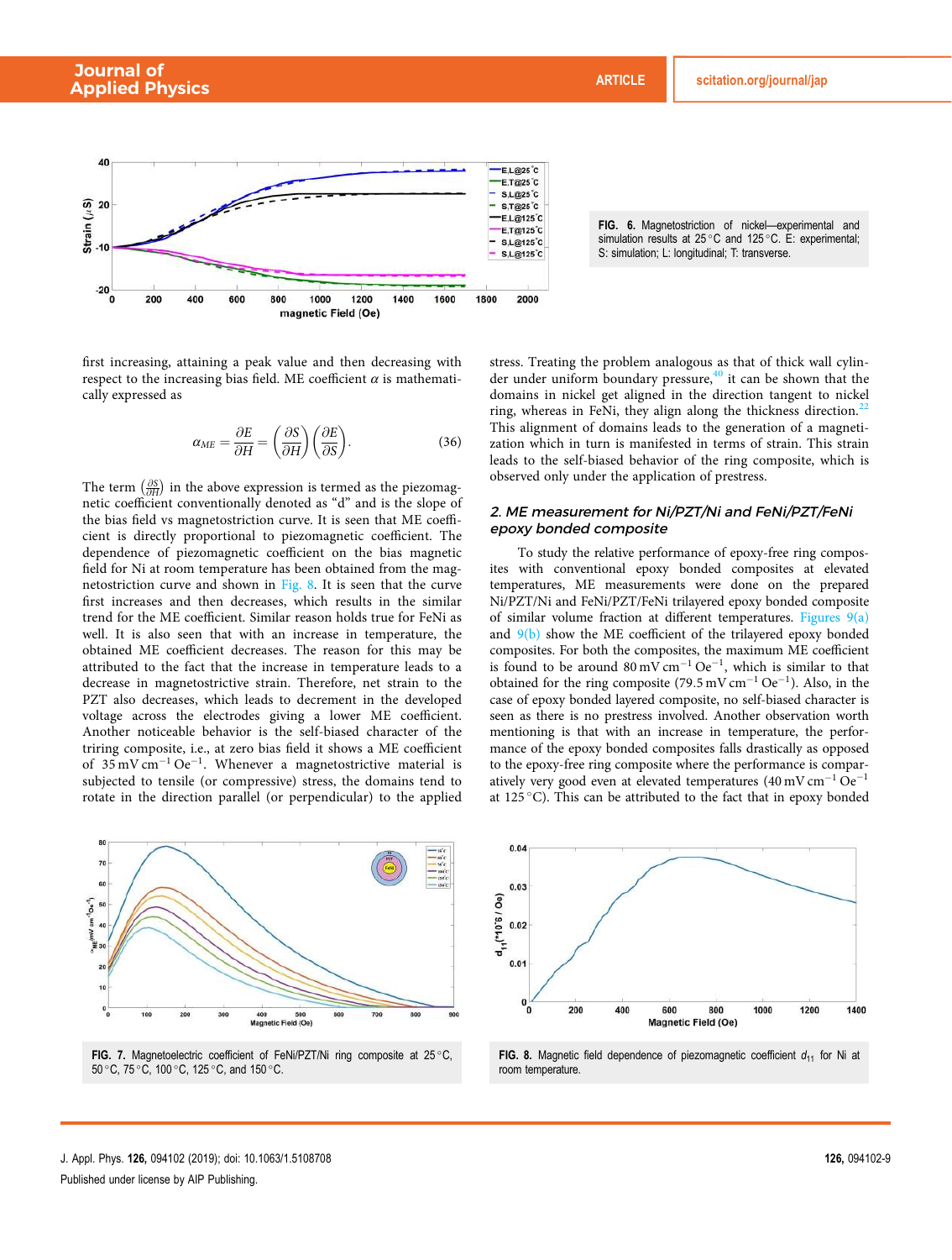

FIG. 6. Magnetostriction of nickel-experimental and simulation results at  $25^{\circ}$ C and 125 $^{\circ}$ C. E: experimental; S: simulation; L: longitudinal; T: transverse.

first increasing, attaining a peak value and then decreasing with respect to the increasing bias field. ME coefficient  $\alpha$  is mathematically expressed as

$$
\alpha_{ME} = \frac{\partial E}{\partial H} = \left(\frac{\partial S}{\partial H}\right) \left(\frac{\partial E}{\partial S}\right). \tag{36}
$$

The term  $\left(\frac{\partial S}{\partial H}\right)$  in the above expression is termed as the piezomagnetic coefficient conventionally denoted as "d" and is the slope of the bias field vs magnetostriction curve. It is seen that ME coefficient is directly proportional to piezomagnetic coefficient. The dependence of piezomagnetic coefficient on the bias magnetic field for Ni at room temperature has been obtained from the magnetostriction curve and shown in Fig. 8. It is seen that the curve first increases and then decreases, which results in the similar trend for the ME coefficient. Similar reason holds true for FeNi as well. It is also seen that with an increase in temperature, the obtained ME coefficient decreases. The reason for this may be attributed to the fact that the increase in temperature leads to a decrease in magnetostrictive strain. Therefore, net strain to the PZT also decreases, which leads to decrement in the developed voltage across the electrodes giving a lower ME coefficient. Another noticeable behavior is the self-biased character of the triring composite, i.e., at zero bias field it shows a ME coefficient of  $35 \text{ mV cm}^{-1} \text{Oe}^{-1}$ . Whenever a magnetostrictive material is subjected to tensile (or compressive) stress, the domains tend to rotate in the direction parallel (or perpendicular) to the applied



FIG. 7. Magnetoelectric coefficient of FeNi/PZT/Ni ring composite at  $25^{\circ}$ C, 50 °C, 75 °C, 100 °C, 125 °C, and 150 °C.

stress. Treating the problem analogous as that of thick wall cylinder under uniform boundary pressure, $40$  it can be shown that the domains in nickel get aligned in the direction tangent to nickel ring, whereas in FeNi, they align along the thickness direction. $^{22}$ This alignment of domains leads to the generation of a magnetization which in turn is manifested in terms of strain. This strain leads to the self-biased behavior of the ring composite, which is observed only under the application of prestress.

## 2. ME measurement for Ni/PZT/Ni and FeNi/PZT/FeNi epoxy bonded composite

To study the relative performance of epoxy-free ring composites with conventional epoxy bonded composites at elevated temperatures, ME measurements were done on the prepared Ni/PZT/Ni and FeNi/PZT/FeNi trilayered epoxy bonded composite of similar volume fraction at different temperatures. Figures 9(a) and  $9(b)$  show the ME coefficient of the trilayered epoxy bonded composites. For both the composites, the maximum ME coefficient is found to be around  $80 \text{ mV cm}^{-1} \text{O}e^{-1}$ , which is similar to that obtained for the ring composite  $(79.5 \,\text{mV cm}^{-1} \,\text{O} \text{e}^{-1})$ . Also, in the case of epoxy bonded layered composite, no self-biased character is seen as there is no prestress involved. Another observation worth mentioning is that with an increase in temperature, the performance of the epoxy bonded composites falls drastically as opposed to the epoxy-free ring composite where the performance is comparatively very good even at elevated temperatures  $(40 \,\mathrm{mV \, cm^{-1} \, O e^{-1}}$ at 125 $\degree$ C). This can be attributed to the fact that in epoxy bonded



FIG. 8. Magnetic field dependence of piezomagnetic coefficient  $d_{11}$  for Ni at room temperature.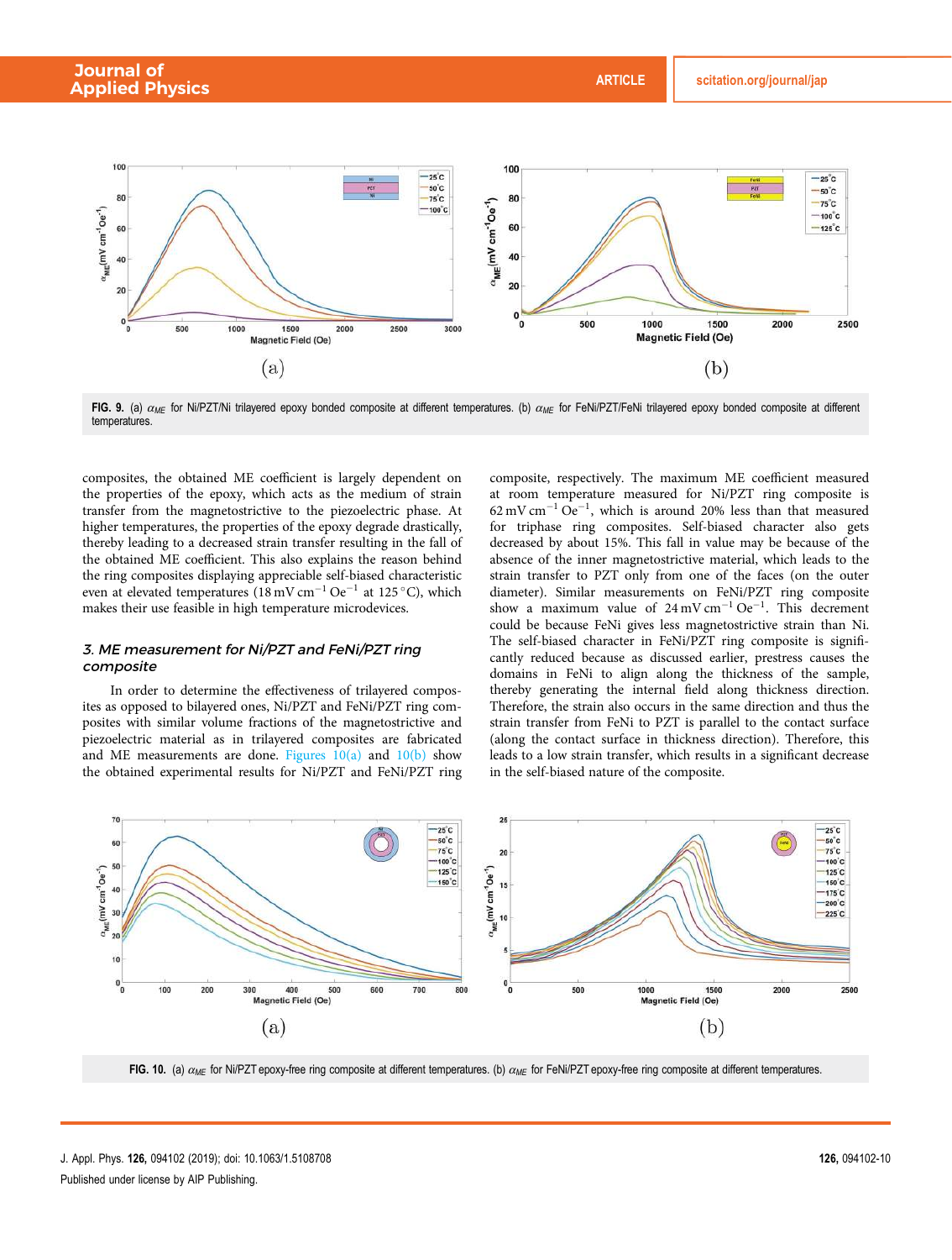

FIG. 9. (a)  $\alpha_{ME}$  for Ni/PZT/Ni trilayered epoxy bonded composite at different temperatures. (b)  $\alpha_{ME}$  for FeNi/PZT/FeNi trilayered epoxy bonded composite at different temperatures.

composites, the obtained ME coefficient is largely dependent on the properties of the epoxy, which acts as the medium of strain transfer from the magnetostrictive to the piezoelectric phase. At higher temperatures, the properties of the epoxy degrade drastically, thereby leading to a decreased strain transfer resulting in the fall of the obtained ME coefficient. This also explains the reason behind the ring composites displaying appreciable self-biased characteristic even at elevated temperatures  $(18 \text{ mV cm}^{-1} \text{ Oe}^{-1}$  at  $125 \degree \text{C}$ ), which makes their use feasible in high temperature microdevices.

## 3. ME measurement for Ni/PZT and FeNi/PZT ring composite

In order to determine the effectiveness of trilayered composites as opposed to bilayered ones, Ni/PZT and FeNi/PZT ring composites with similar volume fractions of the magnetostrictive and piezoelectric material as in trilayered composites are fabricated and ME measurements are done. Figures  $10(a)$  and  $10(b)$  show the obtained experimental results for Ni/PZT and FeNi/PZT ring composite, respectively. The maximum ME coefficient measured at room temperature measured for Ni/PZT ring composite is  $62 \text{ mV cm}^{-1} \text{O}e^{-1}$ , which is around 20% less than that measured for triphase ring composites. Self-biased character also gets decreased by about 15%. This fall in value may be because of the absence of the inner magnetostrictive material, which leads to the strain transfer to PZT only from one of the faces (on the outer diameter). Similar measurements on FeNi/PZT ring composite show a maximum value of  $24 \text{ mV cm}^{-1} \text{Oe}^{-1}$ . This decrement could be because FeNi gives less magnetostrictive strain than Ni. The self-biased character in FeNi/PZT ring composite is significantly reduced because as discussed earlier, prestress causes the domains in FeNi to align along the thickness of the sample, thereby generating the internal field along thickness direction. Therefore, the strain also occurs in the same direction and thus the strain transfer from FeNi to PZT is parallel to the contact surface (along the contact surface in thickness direction). Therefore, this leads to a low strain transfer, which results in a significant decrease in the self-biased nature of the composite.



FIG. 10. (a)  $\alpha_{ME}$  for Ni/PZT epoxy-free ring composite at different temperatures. (b)  $\alpha_{ME}$  for FeNi/PZT epoxy-free ring composite at different temperatures.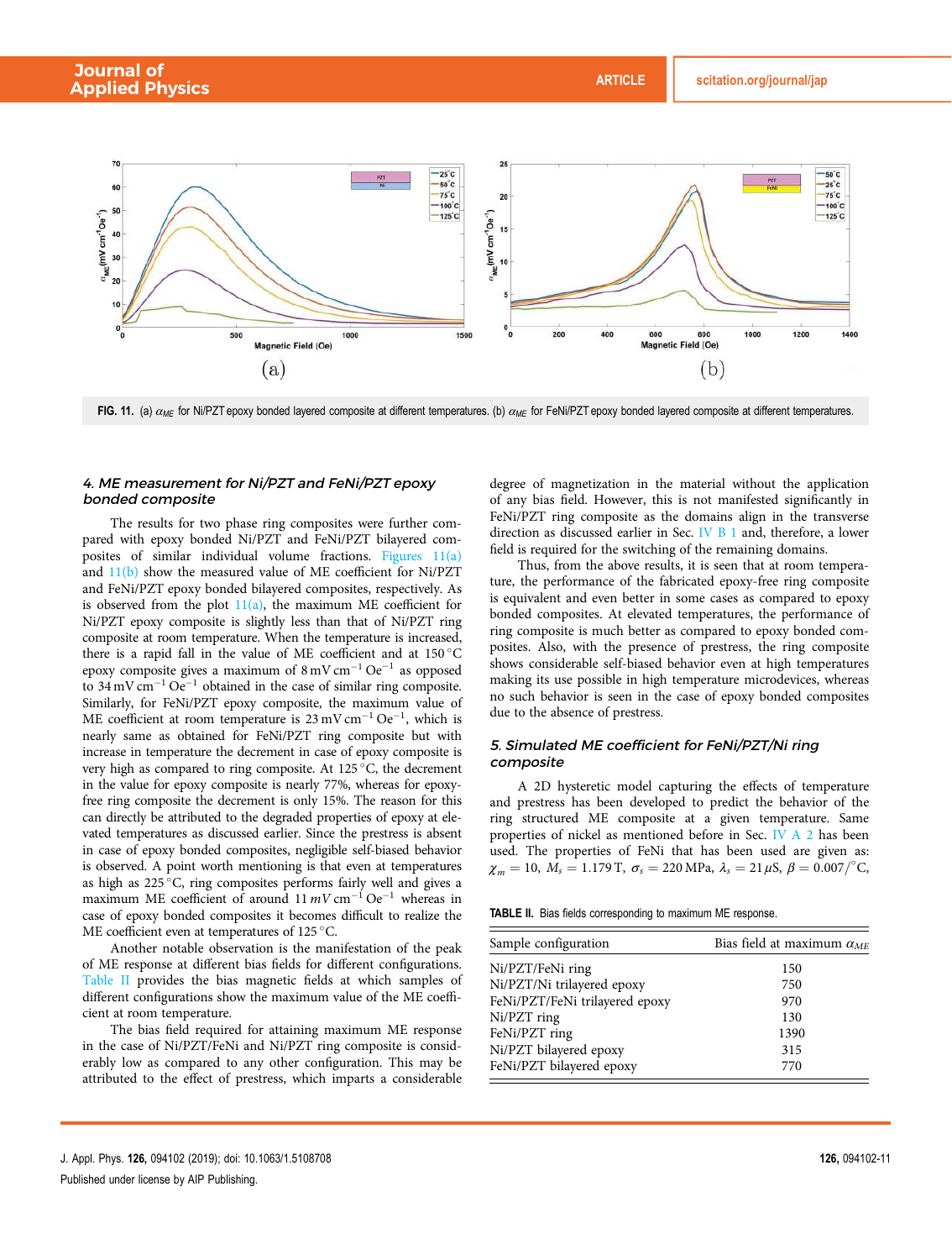

FIG. 11. (a)  $\alpha_{\text{ME}}$  for Ni/PZT epoxy bonded layered composite at different temperatures. (b)  $\alpha_{\text{ME}}$  for FeNi/PZT epoxy bonded layered composite at different temperatures.

## 4. ME measurement for Ni/PZT and FeNi/PZT epoxy bonded composite

The results for two phase ring composites were further compared with epoxy bonded Ni/PZT and FeNi/PZT bilayered composites of similar individual volume fractions. Figures 11(a) and  $11(b)$  show the measured value of ME coefficient for Ni/PZT and FeNi/PZT epoxy bonded bilayered composites, respectively. As is observed from the plot  $11(a)$ , the maximum ME coefficient for Ni/PZT epoxy composite is slightly less than that of Ni/PZT ring composite at room temperature. When the temperature is increased, there is a rapid fall in the value of ME coefficient and at  $150^{\circ}$ C epoxy composite gives a maximum of  $8\,\mathrm{mV}\,\mathrm{cm}^{-1}\,\mathrm{Oe}^{-1}$  as opposed to  $34 \text{ mV cm}^{-1} \text{O}e^{-1}$  obtained in the case of similar ring composite. Similarly, for FeNi/PZT epoxy composite, the maximum value of ME coefficient at room temperature is  $23 \text{ mV cm}^{-1} \text{Oe}^{-1}$ , which is nearly same as obtained for FeNi/PZT ring composite but with increase in temperature the decrement in case of epoxy composite is very high as compared to ring composite. At 125 °C, the decrement in the value for epoxy composite is nearly 77%, whereas for epoxyfree ring composite the decrement is only 15%. The reason for this can directly be attributed to the degraded properties of epoxy at elevated temperatures as discussed earlier. Since the prestress is absent in case of epoxy bonded composites, negligible self-biased behavior is observed. A point worth mentioning is that even at temperatures as high as  $225^{\circ}$ C, ring composites performs fairly well and gives a maximum ME coefficient of around  $11 \, mV \, \text{cm}^{-1} \, \text{O} \text{e}^{-1}$  whereas in case of epoxy bonded composites it becomes difficult to realize the ME coefficient even at temperatures of  $125^{\circ}$ C.

Another notable observation is the manifestation of the peak of ME response at different bias fields for different configurations. Table II provides the bias magnetic fields at which samples of different configurations show the maximum value of the ME coefficient at room temperature.

The bias field required for attaining maximum ME response in the case of Ni/PZT/FeNi and Ni/PZT ring composite is considerably low as compared to any other configuration. This may be attributed to the effect of prestress, which imparts a considerable degree of magnetization in the material without the application of any bias field. However, this is not manifested significantly in FeNi/PZT ring composite as the domains align in the transverse direction as discussed earlier in Sec. IV B 1 and, therefore, a lower field is required for the switching of the remaining domains.

Thus, from the above results, it is seen that at room temperature, the performance of the fabricated epoxy-free ring composite is equivalent and even better in some cases as compared to epoxy bonded composites. At elevated temperatures, the performance of ring composite is much better as compared to epoxy bonded composites. Also, with the presence of prestress, the ring composite shows considerable self-biased behavior even at high temperatures making its use possible in high temperature microdevices, whereas no such behavior is seen in the case of epoxy bonded composites due to the absence of prestress.

## 5. Simulated ME coefficient for FeNi/PZT/Ni ring composite

A 2D hysteretic model capturing the effects of temperature and prestress has been developed to predict the behavior of the ring structured ME composite at a given temperature. Same properties of nickel as mentioned before in Sec. IV A 2 has been used. The properties of FeNi that has been used are given as:  $\chi_m^{}=10,~\dot{M_s}=1.179$  T,  $\sigma_s^{}=220$  MPa,  $\lambda_s^{}=21\,\mu$ S,  $\beta=0.007/°$ C,

TABLE II. Bias fields corresponding to maximum ME response.

| Sample configuration           | Bias field at maximum $\alpha_{ME}$ |  |  |
|--------------------------------|-------------------------------------|--|--|
| Ni/PZT/FeNi ring               | 150                                 |  |  |
| Ni/PZT/Ni trilayered epoxy     | 750                                 |  |  |
| FeNi/PZT/FeNi trilayered epoxy | 970                                 |  |  |
| Ni/PZT ring                    | 130                                 |  |  |
| FeNi/PZT ring                  | 1390                                |  |  |
| Ni/PZT bilayered epoxy         | 315                                 |  |  |
| FeNi/PZT bilayered epoxy       | 770                                 |  |  |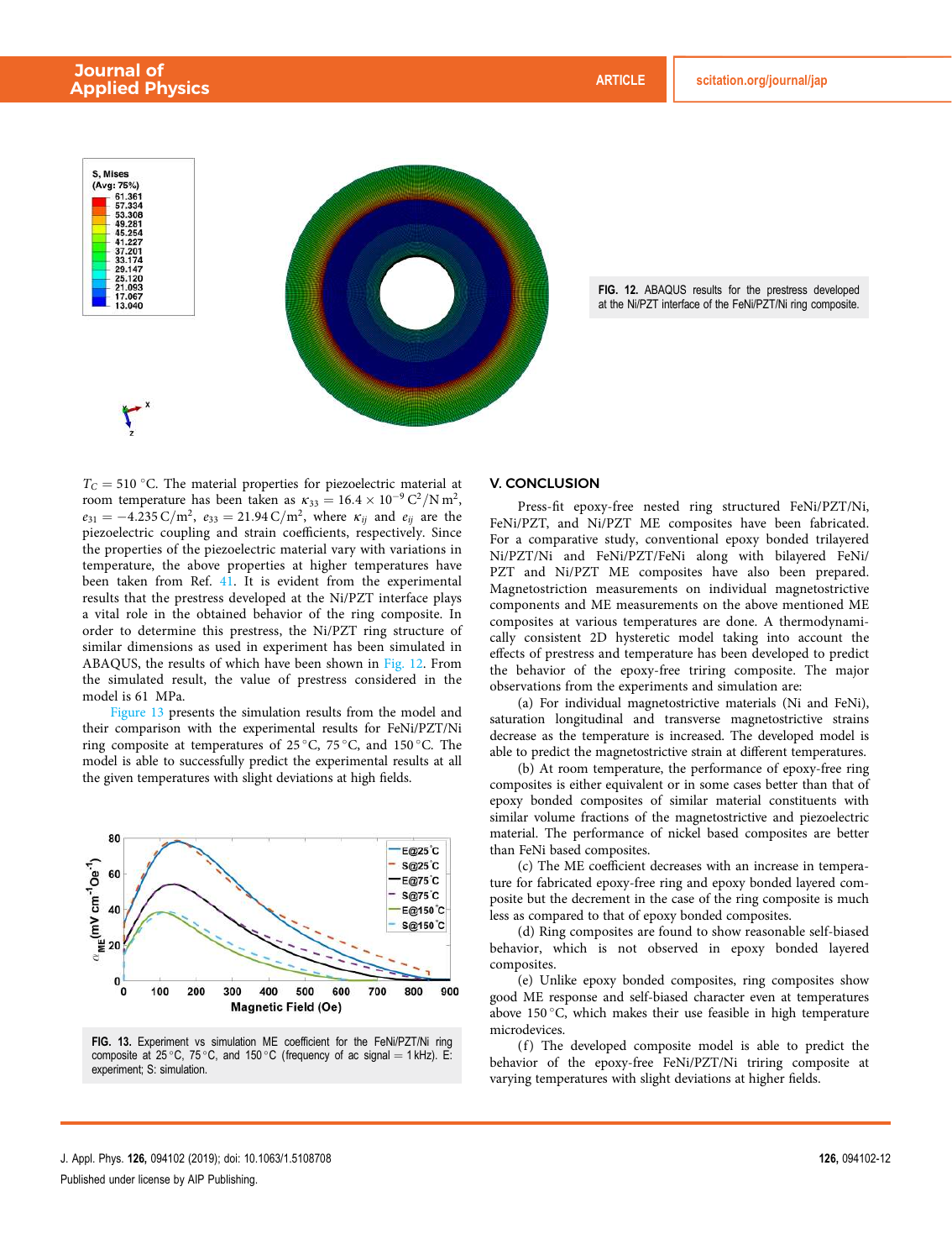

FIG. 12. ABAQUS results for the prestress developed at the Ni/PZT interface of the FeNi/PZT/Ni ring composite.

 $T_C = 510$  °C. The material properties for piezoelectric material at room temperature has been taken as  $\kappa_{33} = 16.4 \times 10^{-9} \text{ C}^2/\text{N m}^2$ ,  $e_{31} = -4.235 \text{ C/m}^2$ ,  $e_{33} = 21.94 \text{ C/m}^2$ , where  $\kappa_{ij}$  and  $e_{ij}$  are the piezoelectric coupling and strain coefficients, respectively. Since the properties of the piezoelectric material vary with variations in temperature, the above properties at higher temperatures have been taken from Ref. 41. It is evident from the experimental results that the prestress developed at the Ni/PZT interface plays a vital role in the obtained behavior of the ring composite. In order to determine this prestress, the Ni/PZT ring structure of similar dimensions as used in experiment has been simulated in ABAQUS, the results of which have been shown in Fig. 12. From the simulated result, the value of prestress considered in the model is 61 MPa.

Figure 13 presents the simulation results from the model and their comparison with the experimental results for FeNi/PZT/Ni ring composite at temperatures of  $25^{\circ}$ C,  $75^{\circ}$ C, and  $150^{\circ}$ C. The model is able to successfully predict the experimental results at all the given temperatures with slight deviations at high fields.



FIG. 13. Experiment vs simulation ME coefficient for the FeNi/PZT/Ni ring composite at 25 °C, 75 °C, and 150 °C (frequency of ac signal  $=$  1 kHz). E: experiment; S: simulation.

#### V. CONCLUSION

Press-fit epoxy-free nested ring structured FeNi/PZT/Ni, FeNi/PZT, and Ni/PZT ME composites have been fabricated. For a comparative study, conventional epoxy bonded trilayered Ni/PZT/Ni and FeNi/PZT/FeNi along with bilayered FeNi/ PZT and Ni/PZT ME composites have also been prepared. Magnetostriction measurements on individual magnetostrictive components and ME measurements on the above mentioned ME composites at various temperatures are done. A thermodynamically consistent 2D hysteretic model taking into account the effects of prestress and temperature has been developed to predict the behavior of the epoxy-free triring composite. The major observations from the experiments and simulation are:

(a) For individual magnetostrictive materials (Ni and FeNi), saturation longitudinal and transverse magnetostrictive strains decrease as the temperature is increased. The developed model is able to predict the magnetostrictive strain at different temperatures.

(b) At room temperature, the performance of epoxy-free ring composites is either equivalent or in some cases better than that of epoxy bonded composites of similar material constituents with similar volume fractions of the magnetostrictive and piezoelectric material. The performance of nickel based composites are better than FeNi based composites.

(c) The ME coefficient decreases with an increase in temperature for fabricated epoxy-free ring and epoxy bonded layered composite but the decrement in the case of the ring composite is much less as compared to that of epoxy bonded composites.

(d) Ring composites are found to show reasonable self-biased behavior, which is not observed in epoxy bonded layered composites.

(e) Unlike epoxy bonded composites, ring composites show good ME response and self-biased character even at temperatures above 150 °C, which makes their use feasible in high temperature microdevices.

(f) The developed composite model is able to predict the behavior of the epoxy-free FeNi/PZT/Ni triring composite at varying temperatures with slight deviations at higher fields.